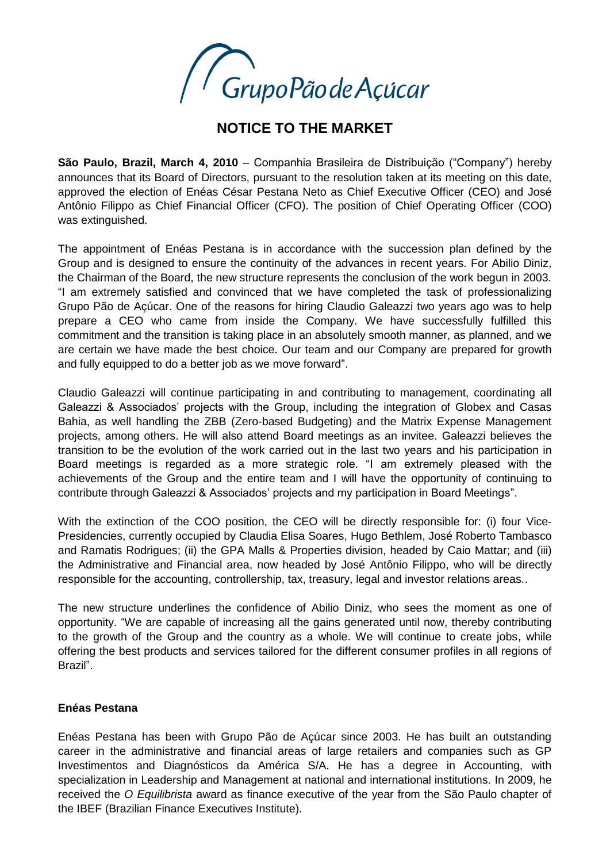

## **NOTICE TO THE MARKET**

**São Paulo, Brazil, March 4, 2010** – Companhia Brasileira de Distribuição ("Company") hereby announces that its Board of Directors, pursuant to the resolution taken at its meeting on this date, approved the election of Enéas César Pestana Neto as Chief Executive Officer (CEO) and José Antônio Filippo as Chief Financial Officer (CFO). The position of Chief Operating Officer (COO) was extinguished.

The appointment of Enéas Pestana is in accordance with the succession plan defined by the Group and is designed to ensure the continuity of the advances in recent years. For Abilio Diniz, the Chairman of the Board, the new structure represents the conclusion of the work begun in 2003. "I am extremely satisfied and convinced that we have completed the task of professionalizing Grupo Pão de Açúcar. One of the reasons for hiring Claudio Galeazzi two years ago was to help prepare a CEO who came from inside the Company. We have successfully fulfilled this commitment and the transition is taking place in an absolutely smooth manner, as planned, and we are certain we have made the best choice. Our team and our Company are prepared for growth and fully equipped to do a better job as we move forward".

Claudio Galeazzi will continue participating in and contributing to management, coordinating all Galeazzi & Associados' projects with the Group, including the integration of Globex and Casas Bahia, as well handling the ZBB (Zero-based Budgeting) and the Matrix Expense Management projects, among others. He will also attend Board meetings as an invitee. Galeazzi believes the transition to be the evolution of the work carried out in the last two years and his participation in Board meetings is regarded as a more strategic role. "I am extremely pleased with the achievements of the Group and the entire team and I will have the opportunity of continuing to contribute through Galeazzi & Associados' projects and my participation in Board Meetings".

With the extinction of the COO position, the CEO will be directly responsible for: (i) four Vice-Presidencies, currently occupied by Claudia Elisa Soares, Hugo Bethlem, José Roberto Tambasco and Ramatis Rodrigues; (ii) the GPA Malls & Properties division, headed by Caio Mattar; and (iii) the Administrative and Financial area, now headed by José Antônio Filippo, who will be directly responsible for the accounting, controllership, tax, treasury, legal and investor relations areas..

The new structure underlines the confidence of Abilio Diniz, who sees the moment as one of opportunity. "We are capable of increasing all the gains generated until now, thereby contributing to the growth of the Group and the country as a whole. We will continue to create jobs, while offering the best products and services tailored for the different consumer profiles in all regions of Brazil".

## **Enéas Pestana**

Enéas Pestana has been with Grupo Pão de Açúcar since 2003. He has built an outstanding career in the administrative and financial areas of large retailers and companies such as GP Investimentos and Diagnósticos da América S/A. He has a degree in Accounting, with specialization in Leadership and Management at national and international institutions. In 2009, he received the *O Equilibrista* award as finance executive of the year from the São Paulo chapter of the IBEF (Brazilian Finance Executives Institute).